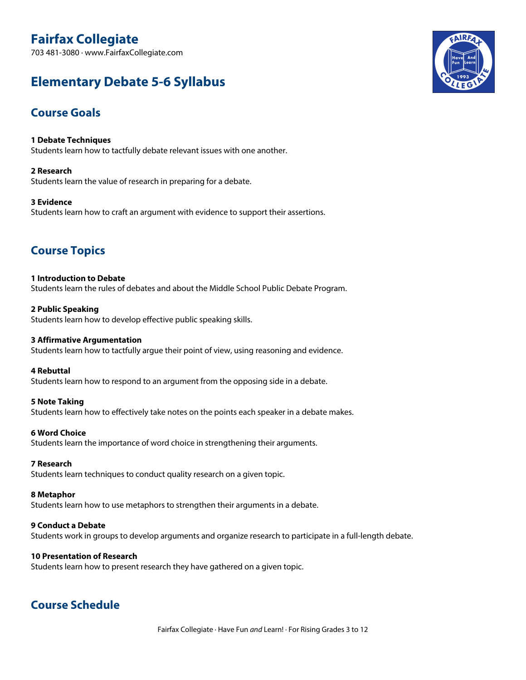# **Fairfax Collegiate**

703 481-3080 · www.FairfaxCollegiate.com

# **Elementary Debate 5-6 Syllabus**



## **Course Goals**

**1 Debate Techniques** Students learn how to tactfully debate relevant issues with one another.

**2 Research** Students learn the value of research in preparing for a debate.

**3 Evidence** Students learn how to craft an argument with evidence to support their assertions.

## **Course Topics**

**1 Introduction to Debate** Students learn the rules of debates and about the Middle School Public Debate Program.

**2 Public Speaking** Students learn how to develop effective public speaking skills.

#### **3 Affirmative Argumentation**

Students learn how to tactfully argue their point of view, using reasoning and evidence.

**4 Rebuttal**

Students learn how to respond to an argument from the opposing side in a debate.

#### **5 Note Taking**

Students learn how to effectively take notes on the points each speaker in a debate makes.

#### **6 Word Choice**

Students learn the importance of word choice in strengthening their arguments.

#### **7 Research**

Students learn techniques to conduct quality research on a given topic.

#### **8 Metaphor**

Students learn how to use metaphors to strengthen their arguments in a debate.

#### **9 Conduct a Debate**

Students work in groups to develop arguments and organize research to participate in a full-length debate.

#### **10 Presentation of Research**

Students learn how to present research they have gathered on a given topic.

## **Course Schedule**

Fairfax Collegiate · Have Fun *and* Learn! · For Rising Grades 3 to 12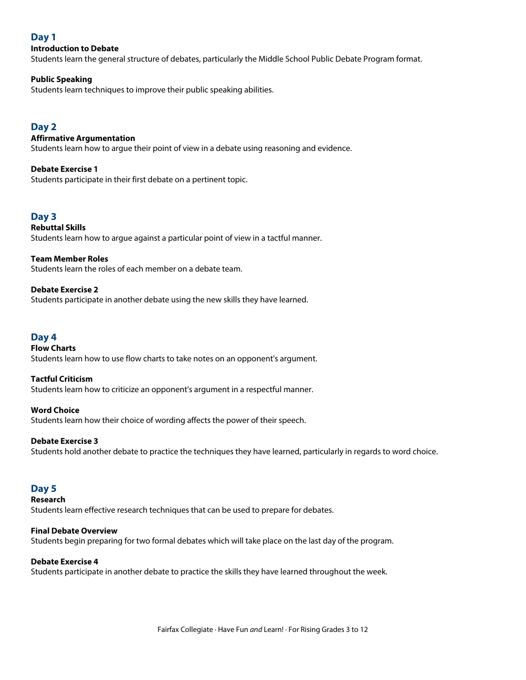## **Day 1**

#### **Introduction to Debate**

Students learn the general structure of debates, particularly the Middle School Public Debate Program format.

#### **Public Speaking**

Students learn techniques to improve their public speaking abilities.

## **Day 2**

#### **Affirmative Argumentation**

Students learn how to argue their point of view in a debate using reasoning and evidence.

#### **Debate Exercise 1**

Students participate in their first debate on a pertinent topic.

## **Day 3**

**Rebuttal Skills** Students learn how to argue against a particular point of view in a tactful manner.

**Team Member Roles** Students learn the roles of each member on a debate team.

**Debate Exercise 2** Students participate in another debate using the new skills they have learned.

#### **Day 4**

## **Flow Charts** Students learn how to use flow charts to take notes on an opponent's argument.

#### **Tactful Criticism**

Students learn how to criticize an opponent's argument in a respectful manner.

#### **Word Choice**

Students learn how their choice of wording affects the power of their speech.

#### **Debate Exercise 3**

Students hold another debate to practice the techniques they have learned, particularly in regards to word choice.

#### **Day 5**

**Research**

Students learn effective research techniques that can be used to prepare for debates.

#### **Final Debate Overview**

Students begin preparing for two formal debates which will take place on the last day of the program.

#### **Debate Exercise 4**

Students participate in another debate to practice the skills they have learned throughout the week.